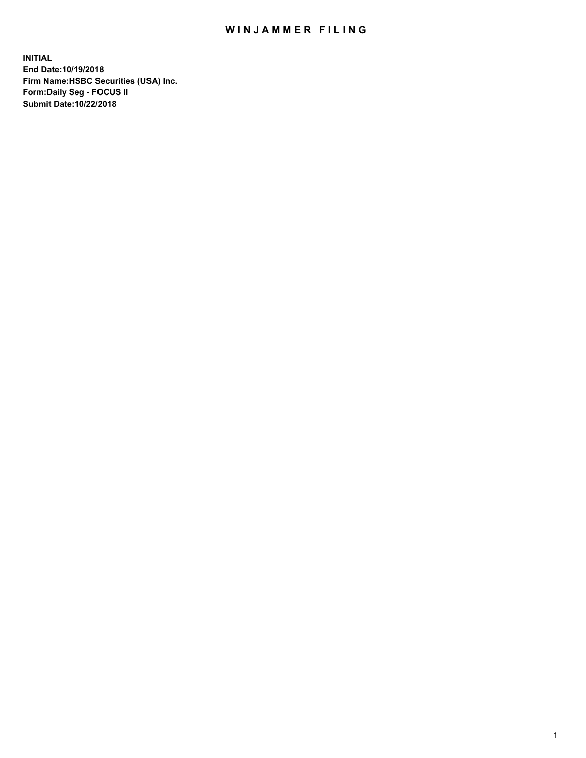## WIN JAMMER FILING

**INITIAL End Date:10/19/2018 Firm Name:HSBC Securities (USA) Inc. Form:Daily Seg - FOCUS II Submit Date:10/22/2018**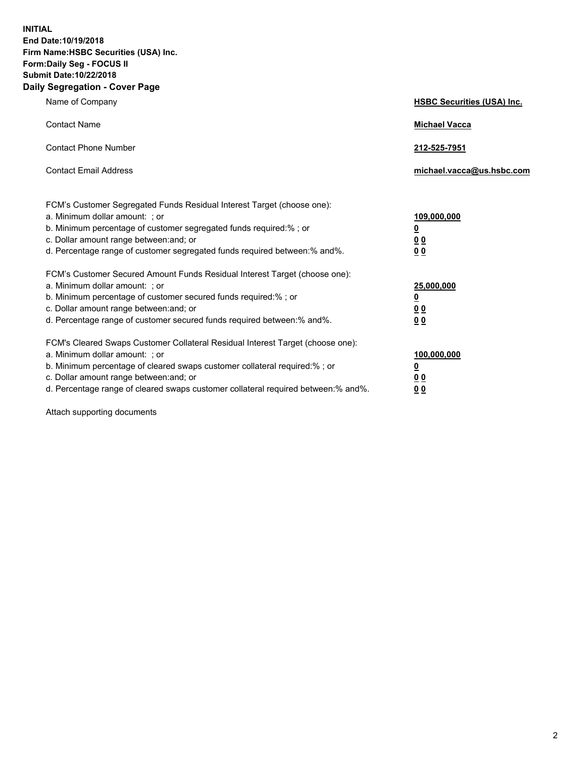**INITIAL End Date:10/19/2018 Firm Name:HSBC Securities (USA) Inc. Form:Daily Seg - FOCUS II Submit Date:10/22/2018 Daily Segregation - Cover Page**

| Name of Company                                                                                                                                                                                                                                                                                                                | <b>HSBC Securities (USA) Inc.</b>                           |
|--------------------------------------------------------------------------------------------------------------------------------------------------------------------------------------------------------------------------------------------------------------------------------------------------------------------------------|-------------------------------------------------------------|
| <b>Contact Name</b>                                                                                                                                                                                                                                                                                                            | <b>Michael Vacca</b>                                        |
| <b>Contact Phone Number</b>                                                                                                                                                                                                                                                                                                    | 212-525-7951                                                |
| <b>Contact Email Address</b>                                                                                                                                                                                                                                                                                                   | michael.vacca@us.hsbc.com                                   |
| FCM's Customer Segregated Funds Residual Interest Target (choose one):<br>a. Minimum dollar amount: : or<br>b. Minimum percentage of customer segregated funds required:% ; or<br>c. Dollar amount range between: and; or<br>d. Percentage range of customer segregated funds required between:% and%.                         | 109,000,000<br><u>0</u><br>0 <sub>0</sub><br>0 <sub>0</sub> |
| FCM's Customer Secured Amount Funds Residual Interest Target (choose one):<br>a. Minimum dollar amount: ; or<br>b. Minimum percentage of customer secured funds required:%; or<br>c. Dollar amount range between: and; or<br>d. Percentage range of customer secured funds required between:% and%.                            | 25,000,000<br><u>0</u><br>00<br>0 <sub>0</sub>              |
| FCM's Cleared Swaps Customer Collateral Residual Interest Target (choose one):<br>a. Minimum dollar amount: ; or<br>b. Minimum percentage of cleared swaps customer collateral required:% ; or<br>c. Dollar amount range between: and; or<br>d. Percentage range of cleared swaps customer collateral required between:% and%. | 100,000,000<br><u>0</u><br>00<br>0 <sub>0</sub>             |

Attach supporting documents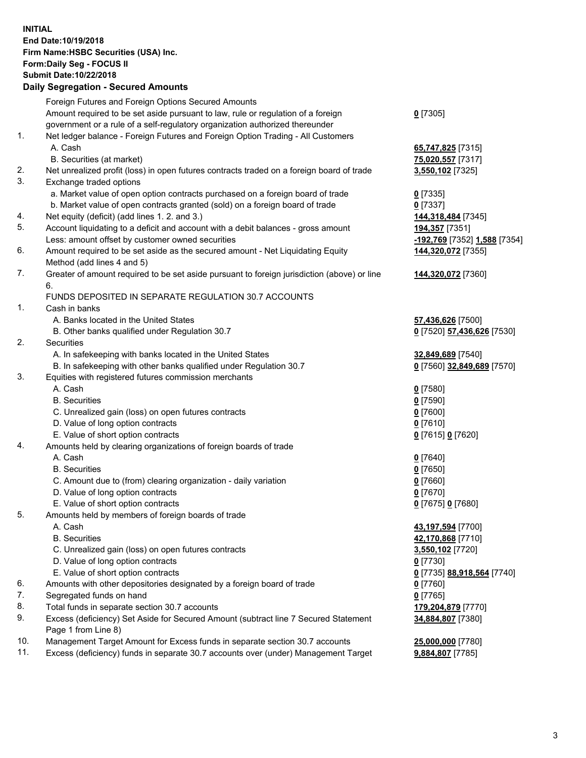**INITIAL End Date:10/19/2018 Firm Name:HSBC Securities (USA) Inc. Form:Daily Seg - FOCUS II Submit Date:10/22/2018 Daily Segregation - Secured Amounts** Foreign Futures and Foreign Options Secured Amounts Amount required to be set aside pursuant to law, rule or regulation of a foreign government or a rule of a self-regulatory organization authorized thereunder **0** [7305] 1. Net ledger balance - Foreign Futures and Foreign Option Trading - All Customers A. Cash **65,747,825** [7315] B. Securities (at market) **75,020,557** [7317] 2. Net unrealized profit (loss) in open futures contracts traded on a foreign board of trade **3,550,102** [7325] 3. Exchange traded options a. Market value of open option contracts purchased on a foreign board of trade **0** [7335] b. Market value of open contracts granted (sold) on a foreign board of trade **0** [7337] 4. Net equity (deficit) (add lines 1. 2. and 3.) **144,318,484** [7345] 5. Account liquidating to a deficit and account with a debit balances - gross amount **194,357** [7351] Less: amount offset by customer owned securities **-192,769** [7352] **1,588** [7354] 6. Amount required to be set aside as the secured amount - Net Liquidating Equity Method (add lines 4 and 5) **144,320,072** [7355] 7. Greater of amount required to be set aside pursuant to foreign jurisdiction (above) or line 6. **144,320,072** [7360] FUNDS DEPOSITED IN SEPARATE REGULATION 30.7 ACCOUNTS 1. Cash in banks A. Banks located in the United States **57,436,626** [7500] B. Other banks qualified under Regulation 30.7 **0** [7520] **57,436,626** [7530] 2. Securities A. In safekeeping with banks located in the United States **32,849,689** [7540] B. In safekeeping with other banks qualified under Regulation 30.7 **0** [7560] **32,849,689** [7570] 3. Equities with registered futures commission merchants A. Cash **0** [7580] B. Securities **0** [7590] C. Unrealized gain (loss) on open futures contracts **0** [7600] D. Value of long option contracts **0** [7610] E. Value of short option contracts **0** [7615] **0** [7620] 4. Amounts held by clearing organizations of foreign boards of trade A. Cash **0** [7640] B. Securities **0** [7650] C. Amount due to (from) clearing organization - daily variation **0** [7660] D. Value of long option contracts **0** [7670] E. Value of short option contracts **0** [7675] **0** [7680] 5. Amounts held by members of foreign boards of trade A. Cash **43,197,594** [7700] B. Securities **42,170,868** [7710] C. Unrealized gain (loss) on open futures contracts **3,550,102** [7720] D. Value of long option contracts **0** [7730] E. Value of short option contracts **0** [7735] **88,918,564** [7740] 6. Amounts with other depositories designated by a foreign board of trade **0** [7760] 7. Segregated funds on hand **0** [7765] 8. Total funds in separate section 30.7 accounts **179,204,879** [7770] 9. Excess (deficiency) Set Aside for Secured Amount (subtract line 7 Secured Statement Page 1 from Line 8) **34,884,807** [7380]

10. Management Target Amount for Excess funds in separate section 30.7 accounts **25,000,000** [7780]

11. Excess (deficiency) funds in separate 30.7 accounts over (under) Management Target **9,884,807** [7785]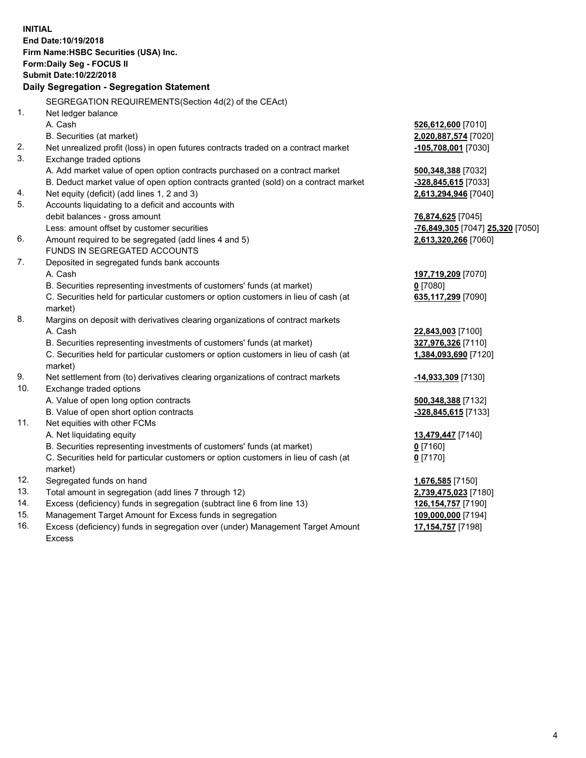**INITIAL End Date:10/19/2018 Firm Name:HSBC Securities (USA) Inc. Form:Daily Seg - FOCUS II Submit Date:10/22/2018 Daily Segregation - Segregation Statement** SEGREGATION REQUIREMENTS(Section 4d(2) of the CEAct) 1. Net ledger balance A. Cash **526,612,600** [7010] B. Securities (at market) **2,020,887,574** [7020] 2. Net unrealized profit (loss) in open futures contracts traded on a contract market **-105,708,001** [7030] 3. Exchange traded options A. Add market value of open option contracts purchased on a contract market **500,348,388** [7032] B. Deduct market value of open option contracts granted (sold) on a contract market **-328,845,615** [7033] 4. Net equity (deficit) (add lines 1, 2 and 3) **2,613,294,946** [7040] 5. Accounts liquidating to a deficit and accounts with debit balances - gross amount **76,874,625** [7045] Less: amount offset by customer securities **-76,849,305** [7047] **25,320** [7050] 6. Amount required to be segregated (add lines 4 and 5) **2,613,320,266** [7060] FUNDS IN SEGREGATED ACCOUNTS 7. Deposited in segregated funds bank accounts A. Cash **197,719,209** [7070] B. Securities representing investments of customers' funds (at market) **0** [7080] C. Securities held for particular customers or option customers in lieu of cash (at market) **635,117,299** [7090] 8. Margins on deposit with derivatives clearing organizations of contract markets A. Cash **22,843,003** [7100] B. Securities representing investments of customers' funds (at market) **327,976,326** [7110] C. Securities held for particular customers or option customers in lieu of cash (at market) **1,384,093,690** [7120] 9. Net settlement from (to) derivatives clearing organizations of contract markets **-14,933,309** [7130] 10. Exchange traded options A. Value of open long option contracts **500,348,388** [7132] B. Value of open short option contracts **-328,845,615** [7133] 11. Net equities with other FCMs A. Net liquidating equity **13,479,447** [7140] B. Securities representing investments of customers' funds (at market) **0** [7160] C. Securities held for particular customers or option customers in lieu of cash (at market) **0** [7170] 12. Segregated funds on hand **1,676,585** [7150] 13. Total amount in segregation (add lines 7 through 12) **2,739,475,023** [7180] 14. Excess (deficiency) funds in segregation (subtract line 6 from line 13) **126,154,757** [7190] 15. Management Target Amount for Excess funds in segregation **109,000,000** [7194] 16. Excess (deficiency) funds in segregation over (under) Management Target Amount **17,154,757** [7198]

Excess